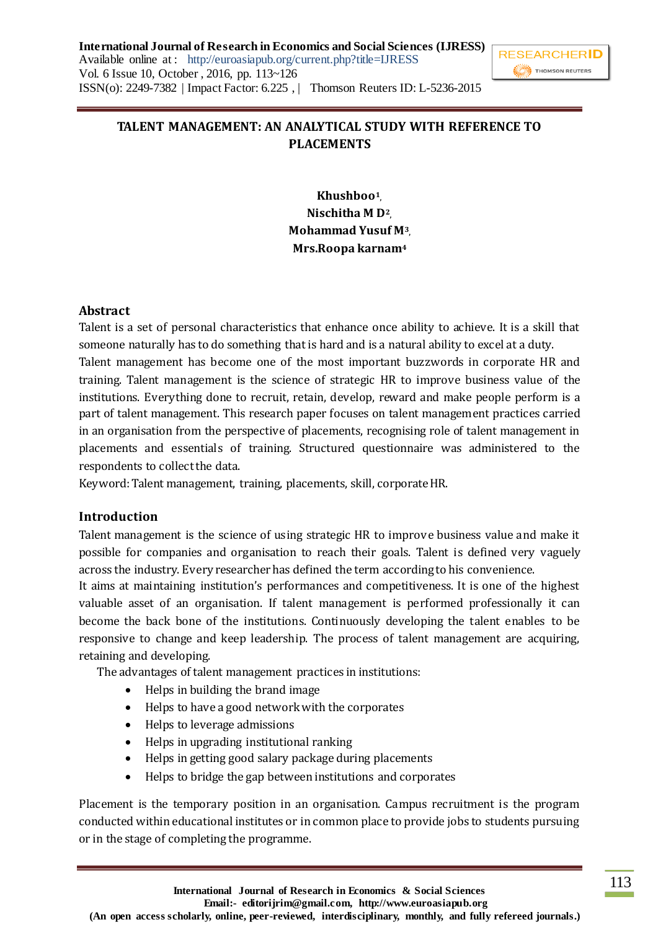**International Journal of Research in Economics and Social Sciences (IJRESS)** Available online at : http://euroasiapub.org/current.php?title=IJRESS Vol. 6 Issue 10, October , 2016, pp. 113~126 ISSN(o): 2249-7382 | Impact Factor: 6.225 , | Thomson Reuters ID: L-5236-2015



## **TALENT MANAGEMENT: AN ANALYTICAL STUDY WITH REFERENCE TO**

# **PLACEMENTS**

**Khushboo<sup>1</sup> , Nischitha M D<sup>2</sup> , Mohammad Yusuf M<sup>3</sup> , Mrs.Roopa karnam<sup>4</sup>**

## **Abstract**

Talent is a set of personal characteristics that enhance once ability to achieve. It is a skill that someone naturally has to do something that is hard and is a natural ability to excel at a duty.

Talent management has become one of the most important buzzwords in corporate HR and training. Talent management is the science of strategic HR to improve business value of the institutions. Everything done to recruit, retain, develop, reward and make people perform is a part of talent management. This research paper focuses on talent management practices carried in an organisation from the perspective of placements, recognising role of talent management in placements and essentials of training. Structured questionnaire was administered to the respondents to collect the data.

Keyword: Talent management, training, placements, skill, corporate HR.

## **Introduction**

Talent management is the science of using strategic HR to improve business value and make it possible for companies and organisation to reach their goals. Talent is defined very vaguely across the industry. Every researcher has defined the term according to his convenience.

It aims at maintaining institution's performances and competitiveness. It is one of the highest valuable asset of an organisation. If talent management is performed professionally it can become the back bone of the institutions. Continuously developing the talent enables to be responsive to change and keep leadership. The process of talent management are acquiring, retaining and developing.

The advantages of talent management practices in institutions:

- Helps in building the brand image
- Helps to have a good network with the corporates
- Helps to leverage admissions
- Helps in upgrading institutional ranking
- Helps in getting good salary package during placements
- Helps to bridge the gap between institutions and corporates

Placement is the temporary position in an organisation. Campus recruitment is the program conducted within educational institutes or in common place to provide jobs to students pursuing or in the stage of completing the programme.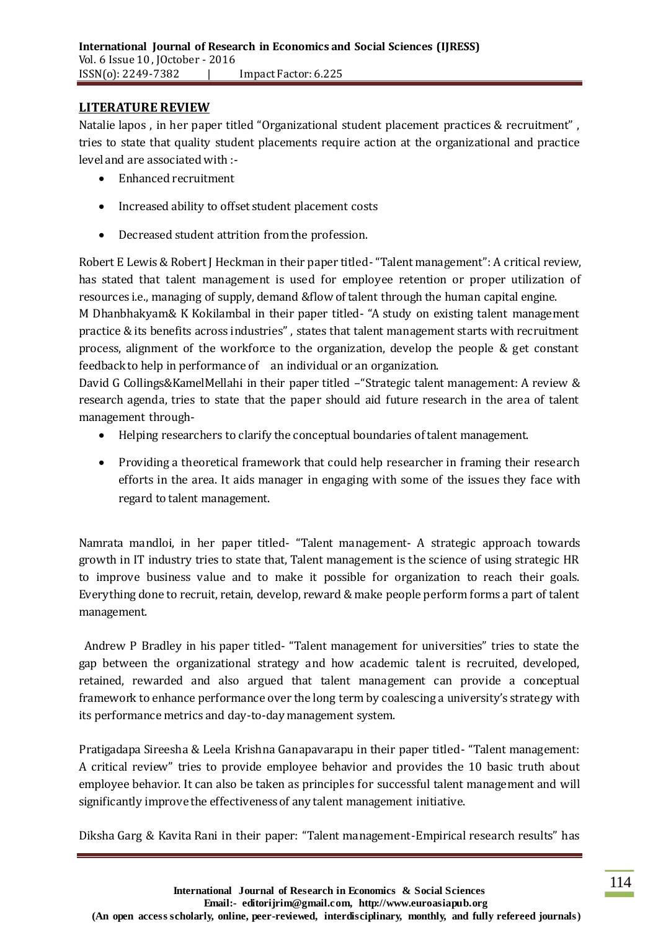#### **LITERATURE REVIEW**

Natalie lapos , in her paper titled "Organizational student placement practices & recruitment" , tries to state that quality student placements require action at the organizational and practice level and are associated with :-

- Enhanced recruitment
- Increased ability to offset student placement costs
- Decreased student attrition from the profession.

Robert E Lewis & Robert J Heckman in their paper titled- "Talent management": A critical review, has stated that talent management is used for employee retention or proper utilization of resources i.e., managing of supply, demand &flow of talent through the human capital engine.

M Dhanbhakyam& K Kokilambal in their paper titled- "A study on existing talent management practice & its benefits across industries" , states that talent management starts with recruitment process, alignment of the workforce to the organization, develop the people & get constant feedback to help in performance of an individual or an organization.

David G Collings&KamelMellahi in their paper titled –"Strategic talent management: A review & research agenda, tries to state that the paper should aid future research in the area of talent management through-

- Helping researchers to clarify the conceptual boundaries of talent management.
- Providing a theoretical framework that could help researcher in framing their research efforts in the area. It aids manager in engaging with some of the issues they face with regard to talent management.

Namrata mandloi, in her paper titled- "Talent management- A strategic approach towards growth in IT industry tries to state that, Talent management is the science of using strategic HR to improve business value and to make it possible for organization to reach their goals. Everything done to recruit, retain, develop, reward & make people perform forms a part of talent management.

Andrew P Bradley in his paper titled- "Talent management for universities" tries to state the gap between the organizational strategy and how academic talent is recruited, developed, retained, rewarded and also argued that talent management can provide a conceptual framework to enhance performance over the long term by coalescing a university's strategy with its performance metrics and day-to-day management system.

Pratigadapa Sireesha & Leela Krishna Ganapavarapu in their paper titled- "Talent management: A critical review" tries to provide employee behavior and provides the 10 basic truth about employee behavior. It can also be taken as principles for successful talent management and will significantly improve the effectiveness of any talent management initiative.

Diksha Garg & Kavita Rani in their paper: "Talent management-Empirical research results" has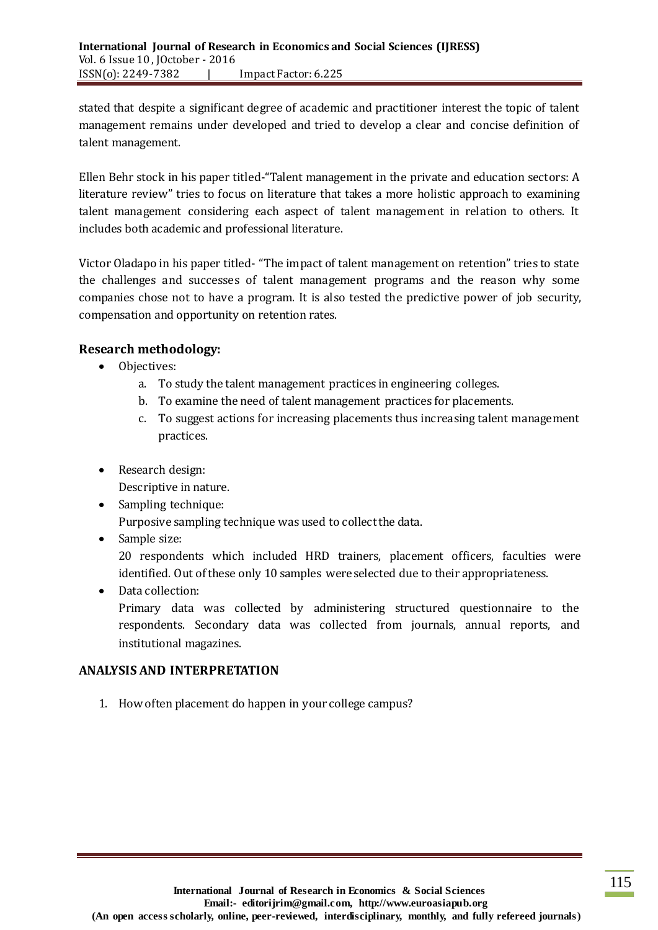stated that despite a significant degree of academic and practitioner interest the topic of talent management remains under developed and tried to develop a clear and concise definition of talent management.

Ellen Behr stock in his paper titled-"Talent management in the private and education sectors: A literature review" tries to focus on literature that takes a more holistic approach to examining talent management considering each aspect of talent management in relation to others. It includes both academic and professional literature.

Victor Oladapo in his paper titled- "The impact of talent management on retention" tries to state the challenges and successes of talent management programs and the reason why some companies chose not to have a program. It is also tested the predictive power of job security, compensation and opportunity on retention rates.

## **Research methodology:**

- Objectives:
	- a. To study the talent management practices in engineering colleges.
	- b. To examine the need of talent management practices for placements.
	- c. To suggest actions for increasing placements thus increasing talent management practices.
- Research design:

Descriptive in nature.

• Sampling technique:

Purposive sampling technique was used to collect the data.

• Sample size:

20 respondents which included HRD trainers, placement officers, faculties were identified. Out of these only 10 samples were selected due to their appropriateness.

• Data collection:

Primary data was collected by administering structured questionnaire to the respondents. Secondary data was collected from journals, annual reports, and institutional magazines.

## **ANALYSIS AND INTERPRETATION**

1. How often placement do happen in your college campus?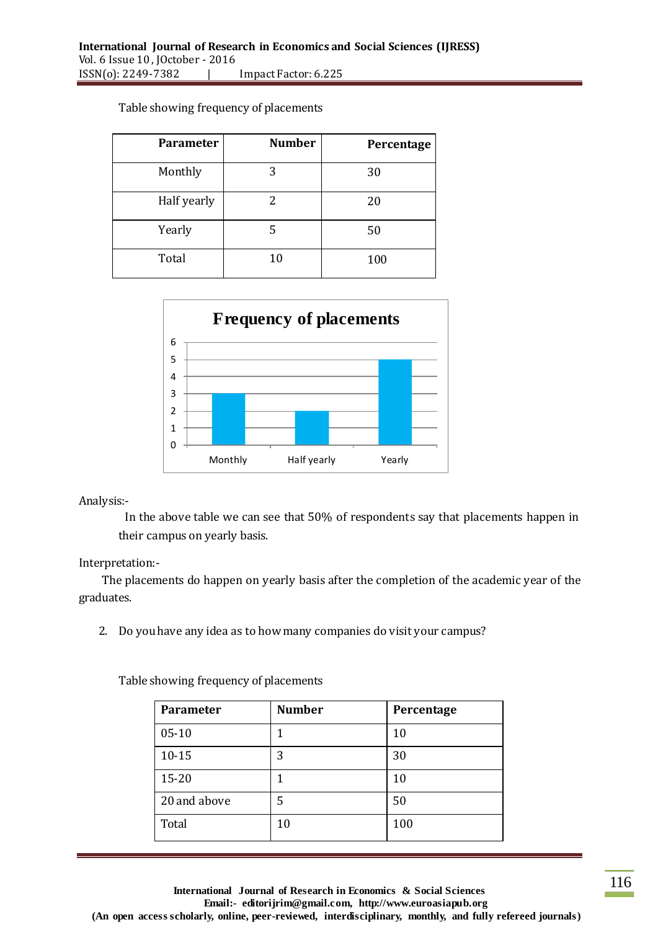| Parameter   | <b>Number</b> | Percentage |
|-------------|---------------|------------|
| Monthly     | 3             | 30         |
| Half yearly | 2             | 20         |
| Yearly      | 5             | 50         |
| Total       | 10            | 100        |

#### Table showing frequency of placements



Analysis:-

In the above table we can see that 50% of respondents say that placements happen in their campus on yearly basis.

#### Interpretation:-

The placements do happen on yearly basis after the completion of the academic year of the graduates.

2. Do you have any idea as to how many companies do visit your campus?

| <b>Parameter</b> | <b>Number</b> | Percentage |
|------------------|---------------|------------|
| $05 - 10$        |               | 10         |
| $10 - 15$        | 3             | 30         |
| $15 - 20$        |               | 10         |
| 20 and above     | 5             | 50         |
| Total            | 10            | 100        |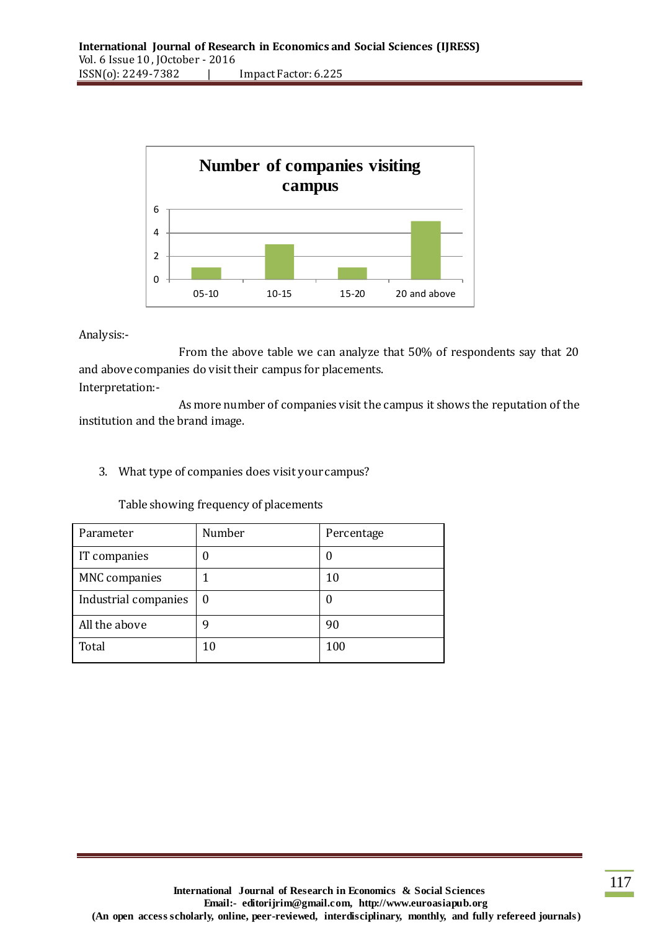

From the above table we can analyze that 50% of respondents say that 20 and above companies do visit their campus for placements. Interpretation:-

As more number of companies visit the campus it shows the reputation of the institution and the brand image.

3. What type of companies does visit your campus?

| Parameter            | Number   | Percentage |
|----------------------|----------|------------|
| IT companies         |          |            |
| <b>MNC</b> companies |          | 10         |
| Industrial companies | $\theta$ |            |
| All the above        | q        | 90         |
| Total                | 10       | 100        |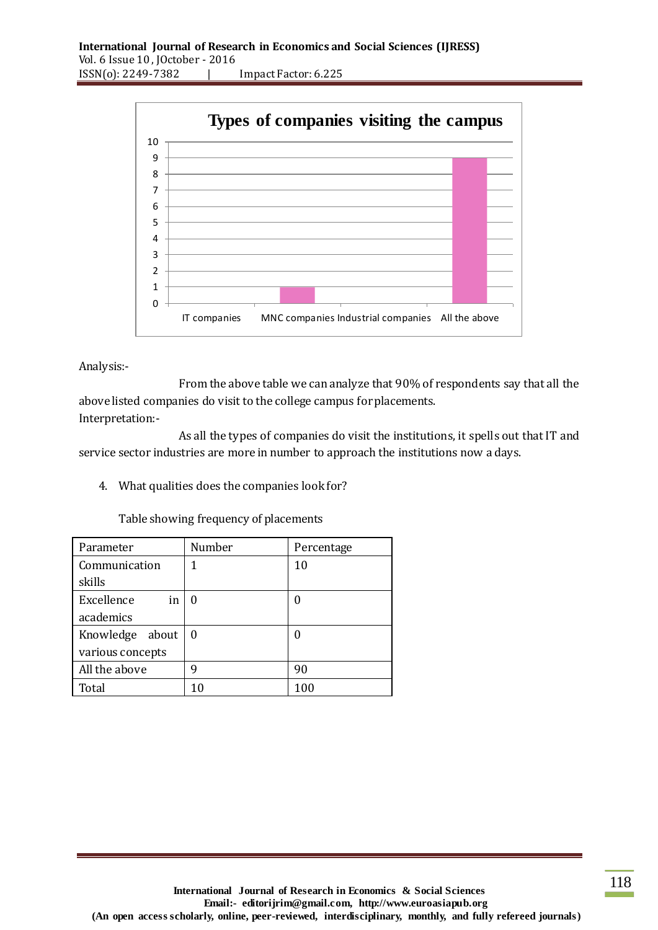

From the above table we can analyze that 90% of respondents say that all the above listed companies do visit to the college campus for placements. Interpretation:-

As all the types of companies do visit the institutions, it spells out that IT and service sector industries are more in number to approach the institutions now a days.

4. What qualities does the companies look for?

| Parameter        | Number | Percentage |
|------------------|--------|------------|
| Communication    |        | 10         |
| skills           |        |            |
| Excellence<br>in | 0      |            |
| academics        |        |            |
| Knowledge about  | 0      |            |
| various concepts |        |            |
| All the above    | q      | 90         |
| Total            |        |            |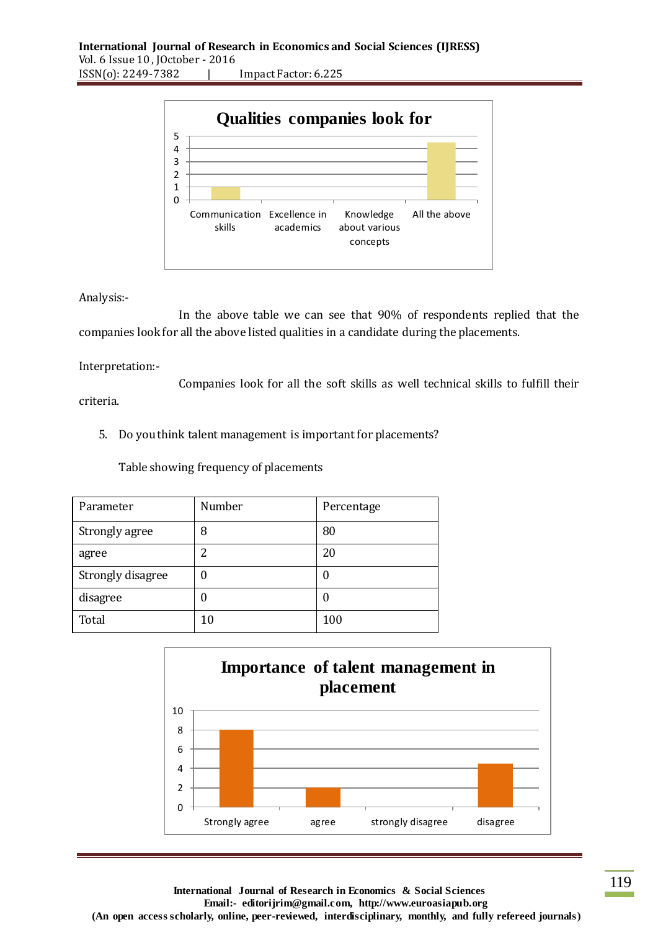

In the above table we can see that 90% of respondents replied that the companies look for all the above listed qualities in a candidate during the placements.

Interpretation:-

Companies look for all the soft skills as well technical skills to fulfill their criteria.

5. Do you think talent management is important for placements?

| Parameter         | Number | Percentage |
|-------------------|--------|------------|
| Strongly agree    | 8      | 80         |
| agree             | っ      | 20         |
| Strongly disagree | O      |            |
| disagree          | 0      |            |
| Total             | 10     | 100        |

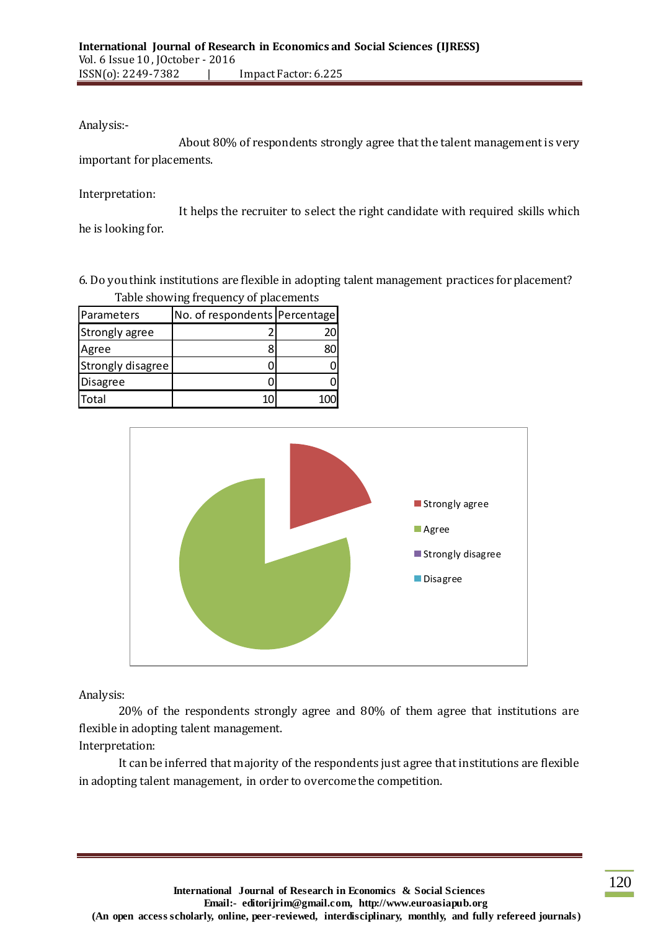About 80% of respondents strongly agree that the talent management is very important for placements.

Interpretation:

It helps the recruiter to select the right candidate with required skills which he is looking for.

6. Do you think institutions are flexible in adopting talent management practices for placement? Table showing frequency of placements

| Parameters            | No. of respondents   Percentage |    |
|-----------------------|---------------------------------|----|
| <b>Strongly agree</b> |                                 | 20 |
| Agree                 |                                 | 30 |
| Strongly disagree     |                                 |    |
| Disagree              |                                 |    |
| Total                 |                                 |    |



Analysis:

20% of the respondents strongly agree and 80% of them agree that institutions are flexible in adopting talent management.

Interpretation:

It can be inferred that majority of the respondents just agree that institutions are flexible in adopting talent management, in order to overcome the competition.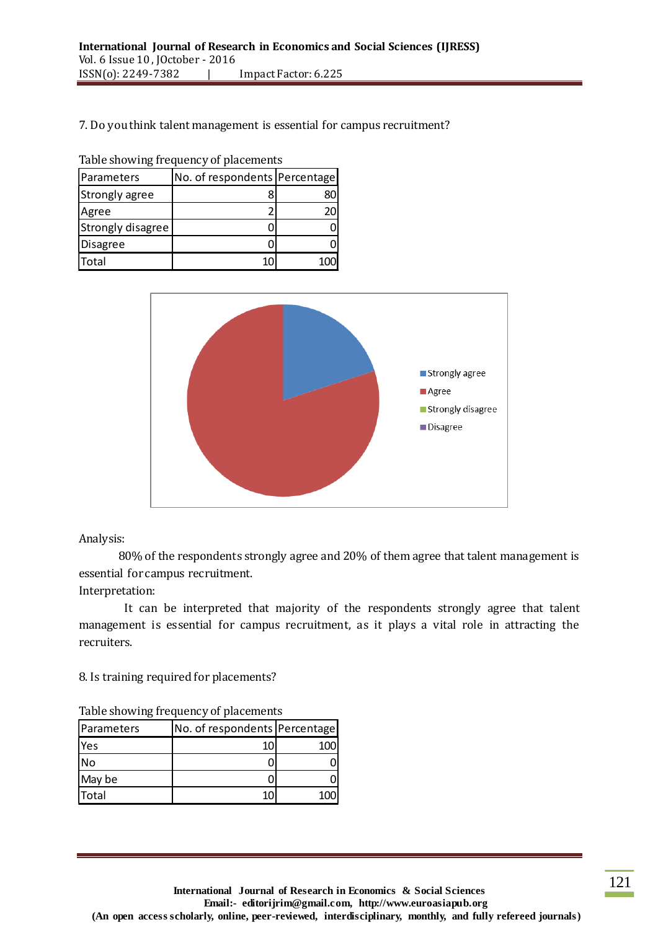#### 7. Do you think talent management is essential for campus recruitment?

Table showing frequency of placements

| Parameters            | No. of respondents Percentage |    |
|-----------------------|-------------------------------|----|
| <b>Strongly agree</b> |                               |    |
| Agree                 |                               | 70 |
| Strongly disagree     |                               |    |
| Disagree              |                               |    |
| Total                 |                               |    |



Analysis:

80% of the respondents strongly agree and 20% of them agree that talent management is essential for campus recruitment.

Interpretation:

It can be interpreted that majority of the respondents strongly agree that talent management is essential for campus recruitment, as it plays a vital role in attracting the recruiters.

8. Is training required for placements?

|  |  |  | Table showing frequency of placements |
|--|--|--|---------------------------------------|
|--|--|--|---------------------------------------|

| Parameters | No. of respondents Percentage |     |
|------------|-------------------------------|-----|
| <b>Yes</b> | 10.                           | 100 |
| No         |                               |     |
| May be     |                               |     |
| Total      | 10                            | 100 |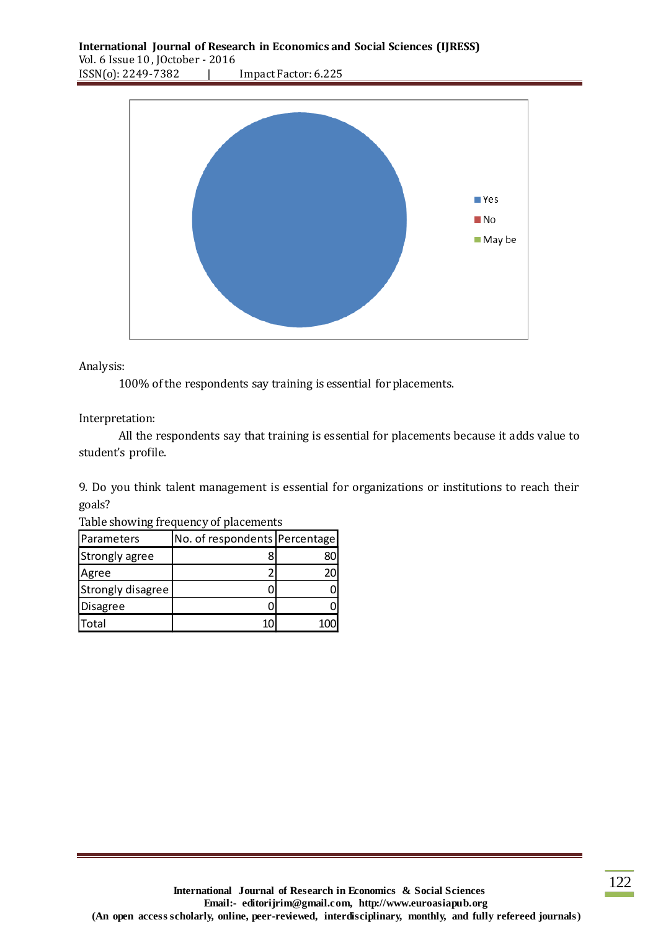

100% of the respondents say training is essential for placements.

Interpretation:

All the respondents say that training is essential for placements because it adds value to student's profile.

9. Do you think talent management is essential for organizations or institutions to reach their goals?

| Parameters        | No. of respondents Percentage |    |
|-------------------|-------------------------------|----|
| Strongly agree    |                               | 80 |
| Agree             |                               | 20 |
| Strongly disagree |                               |    |
| Disagree          |                               |    |
| Total             |                               |    |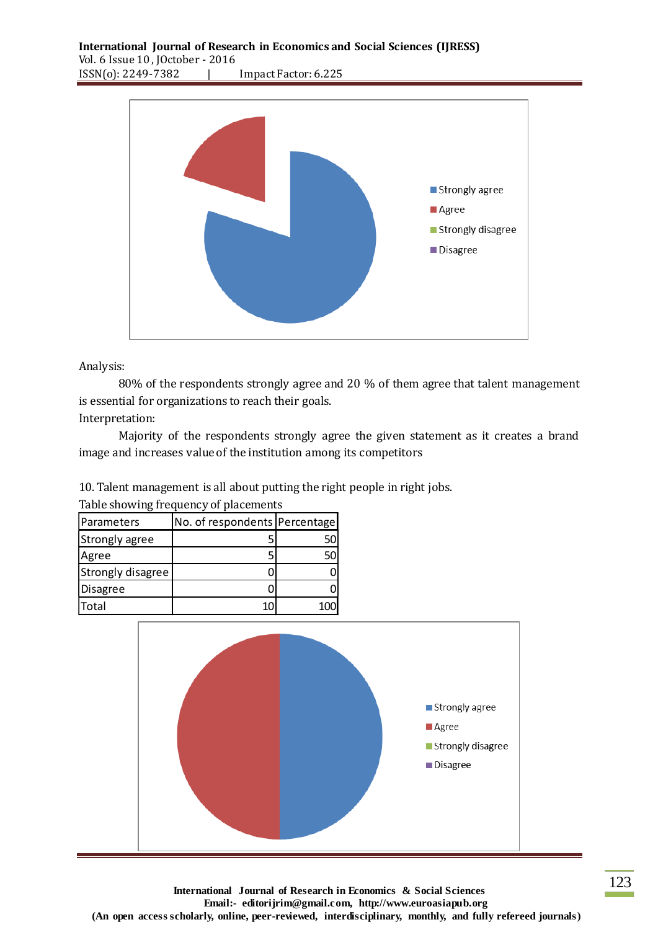

80% of the respondents strongly agree and 20 % of them agree that talent management is essential for organizations to reach their goals.

Interpretation:

Majority of the respondents strongly agree the given statement as it creates a brand image and increases value of the institution among its competitors

10. Talent management is all about putting the right people in right jobs.

| Table showing frequency of placements |                               |    |  |
|---------------------------------------|-------------------------------|----|--|
| Parameters                            | No. of respondents Percentage |    |  |
| <b>Strongly agree</b>                 |                               | 50 |  |
| Agree                                 |                               | 50 |  |
| <b>Strongly disagree</b>              |                               |    |  |
| Disagree                              |                               |    |  |
| Total                                 | 10                            |    |  |



**International Journal of Research in Economics & Social Sciences Email:- editorijrim@gmail.com, http://www.euroasiapub.org (An open access scholarly, online, peer-reviewed, interdisciplinary, monthly, and fully refereed journals)**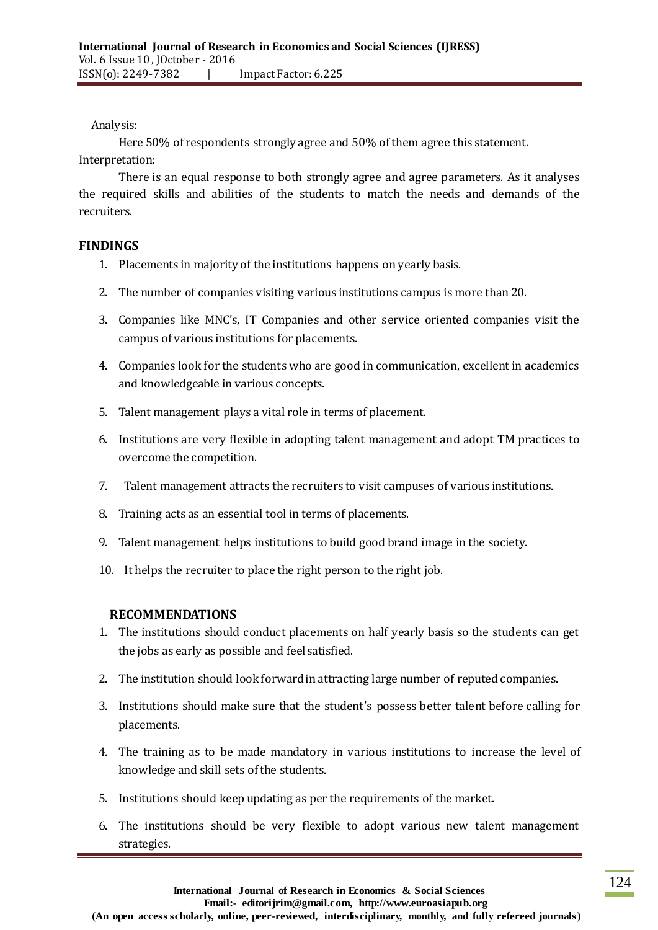Here 50% of respondents strongly agree and 50% of them agree this statement.

Interpretation:

There is an equal response to both strongly agree and agree parameters. As it analyses the required skills and abilities of the students to match the needs and demands of the recruiters.

## **FINDINGS**

- 1. Placements in majority of the institutions happens on yearly basis.
- 2. The number of companies visiting various institutions campus is more than 20.
- 3. Companies like MNC's, IT Companies and other service oriented companies visit the campus of various institutions for placements.
- 4. Companies look for the students who are good in communication, excellent in academics and knowledgeable in various concepts.
- 5. Talent management plays a vital role in terms of placement.
- 6. Institutions are very flexible in adopting talent management and adopt TM practices to overcome the competition.
- 7. Talent management attracts the recruiters to visit campuses of various institutions.
- 8. Training acts as an essential tool in terms of placements.
- 9. Talent management helps institutions to build good brand image in the society.
- 10. It helps the recruiter to place the right person to the right job.

## **RECOMMENDATIONS**

- 1. The institutions should conduct placements on half yearly basis so the students can get the jobs as early as possible and feel satisfied.
- 2. The institution should look forward in attracting large number of reputed companies.
- 3. Institutions should make sure that the student's possess better talent before calling for placements.
- 4. The training as to be made mandatory in various institutions to increase the level of knowledge and skill sets of the students.
- 5. Institutions should keep updating as per the requirements of the market.
- 6. The institutions should be very flexible to adopt various new talent management strategies.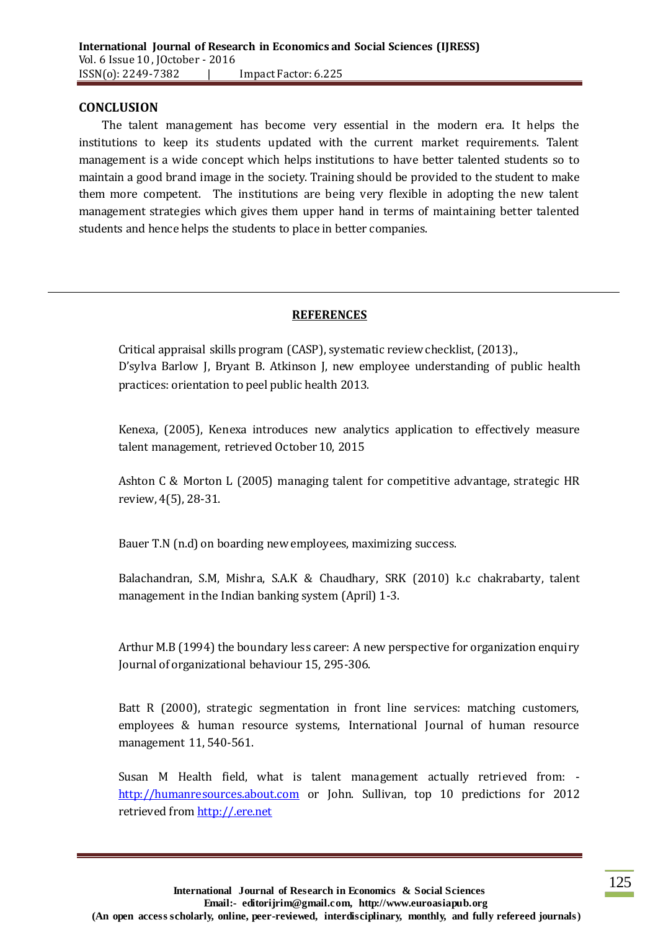#### **CONCLUSION**

The talent management has become very essential in the modern era. It helps the institutions to keep its students updated with the current market requirements. Talent management is a wide concept which helps institutions to have better talented students so to maintain a good brand image in the society. Training should be provided to the student to make them more competent. The institutions are being very flexible in adopting the new talent management strategies which gives them upper hand in terms of maintaining better talented students and hence helps the students to place in better companies.

#### **REFERENCES**

Critical appraisal skills program (CASP), systematic review checklist, (2013)., D'sylva Barlow J, Bryant B. Atkinson J, new employee understanding of public health practices: orientation to peel public health 2013.

Kenexa, (2005), Kenexa introduces new analytics application to effectively measure talent management, retrieved October 10, 2015

Ashton C & Morton L (2005) managing talent for competitive advantage, strategic HR review, 4(5), 28-31.

Bauer T.N (n.d) on boarding new employees, maximizing success.

Balachandran, S.M, Mishra, S.A.K & Chaudhary, SRK (2010) k.c chakrabarty, talent management in the Indian banking system (April) 1-3.

Arthur M.B (1994) the boundary less career: A new perspective for organization enquiry Journal of organizational behaviour 15, 295-306.

Batt R (2000), strategic segmentation in front line services: matching customers, employees & human resource systems, International Journal of human resource management 11, 540-561.

Susan M Health field, what is talent management actually retrieved from: [http://humanresources.about.com](http://humanresources.about.com/) or John. Sullivan, top 10 predictions for 2012 retrieved fro[m http://.ere.net](http://.ere.net/)